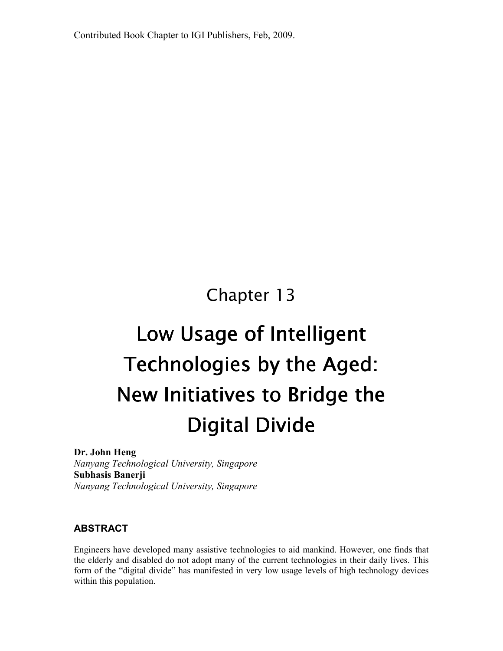Contributed Book Chapter to IGI Publishers, Feb, 2009.

# Chapter 13

# Low Usage of Intelligent Technologies by the Aged: New Initiatives to Bridge the **Digital Divide**

Dr. John Heng

Nanyang Technological University, Singapore Subhasis Banerji Nanyang Technological University, Singapore

#### ABSTRACT

Engineers have developed many assistive technologies to aid mankind. However, one finds that the elderly and disabled do not adopt many of the current technologies in their daily lives. This form of the "digital divide" has manifested in very low usage levels of high technology devices within this population.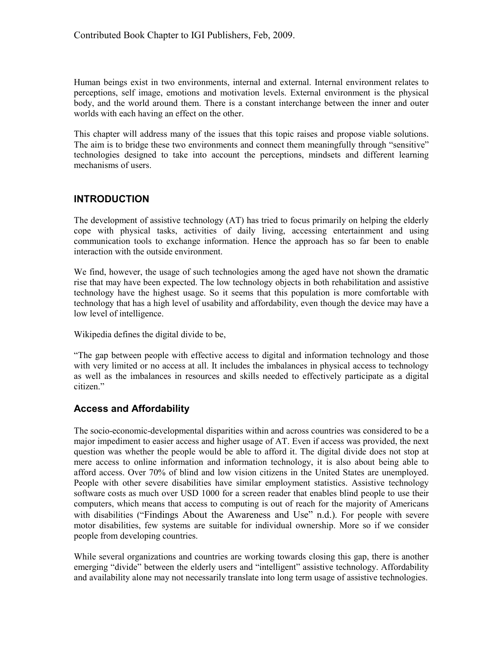Human beings exist in two environments, internal and external. Internal environment relates to perceptions, self image, emotions and motivation levels. External environment is the physical body, and the world around them. There is a constant interchange between the inner and outer worlds with each having an effect on the other.

This chapter will address many of the issues that this topic raises and propose viable solutions. The aim is to bridge these two environments and connect them meaningfully through "sensitive" technologies designed to take into account the perceptions, mindsets and different learning mechanisms of users.

#### INTRODUCTION

The development of assistive technology (AT) has tried to focus primarily on helping the elderly cope with physical tasks, activities of daily living, accessing entertainment and using communication tools to exchange information. Hence the approach has so far been to enable interaction with the outside environment.

We find, however, the usage of such technologies among the aged have not shown the dramatic rise that may have been expected. The low technology objects in both rehabilitation and assistive technology have the highest usage. So it seems that this population is more comfortable with technology that has a high level of usability and affordability, even though the device may have a low level of intelligence.

Wikipedia defines the digital divide to be,

"The gap between people with effective access to digital and information technology and those with very limited or no access at all. It includes the imbalances in physical access to technology as well as the imbalances in resources and skills needed to effectively participate as a digital citizen."

#### Access and Affordability

The socio-economic-developmental disparities within and across countries was considered to be a major impediment to easier access and higher usage of AT. Even if access was provided, the next question was whether the people would be able to afford it. The digital divide does not stop at mere access to online information and information technology, it is also about being able to afford access. Over 70% of blind and low vision citizens in the United States are unemployed. People with other severe disabilities have similar employment statistics. Assistive technology software costs as much over USD 1000 for a screen reader that enables blind people to use their computers, which means that access to computing is out of reach for the majority of Americans with disabilities ("Findings About the Awareness and Use" n.d.). For people with severe motor disabilities, few systems are suitable for individual ownership. More so if we consider people from developing countries.

While several organizations and countries are working towards closing this gap, there is another emerging "divide" between the elderly users and "intelligent" assistive technology. Affordability and availability alone may not necessarily translate into long term usage of assistive technologies.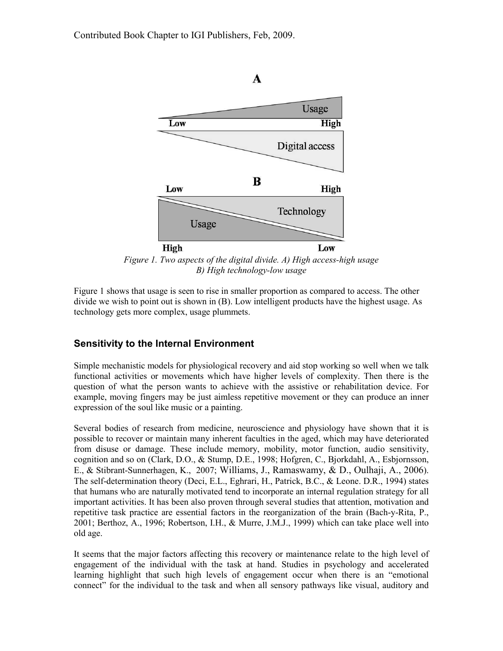

Figure 1. Two aspects of the digital divide. A) High access-high usage B) High technology-low usage

Figure 1 shows that usage is seen to rise in smaller proportion as compared to access. The other divide we wish to point out is shown in (B). Low intelligent products have the highest usage. As technology gets more complex, usage plummets.

#### Sensitivity to the Internal Environment

Simple mechanistic models for physiological recovery and aid stop working so well when we talk functional activities or movements which have higher levels of complexity. Then there is the question of what the person wants to achieve with the assistive or rehabilitation device. For example, moving fingers may be just aimless repetitive movement or they can produce an inner expression of the soul like music or a painting.

Several bodies of research from medicine, neuroscience and physiology have shown that it is possible to recover or maintain many inherent faculties in the aged, which may have deteriorated from disuse or damage. These include memory, mobility, motor function, audio sensitivity, cognition and so on (Clark, D.O., & Stump, D.E., 1998; Hofgren, C., Bjorkdahl, A., Esbjornsson, E., & Stibrant-Sunnerhagen, K., 2007; Williams, J., Ramaswamy, & D., Oulhaji, A., 2006). The self-determination theory (Deci, E.L., Eghrari, H., Patrick, B.C., & Leone. D.R., 1994) states that humans who are naturally motivated tend to incorporate an internal regulation strategy for all important activities. It has been also proven through several studies that attention, motivation and repetitive task practice are essential factors in the reorganization of the brain (Bach-y-Rita, P., 2001; Berthoz, A., 1996; Robertson, I.H., & Murre, J.M.J., 1999) which can take place well into old age.

It seems that the major factors affecting this recovery or maintenance relate to the high level of engagement of the individual with the task at hand. Studies in psychology and accelerated learning highlight that such high levels of engagement occur when there is an "emotional connect" for the individual to the task and when all sensory pathways like visual, auditory and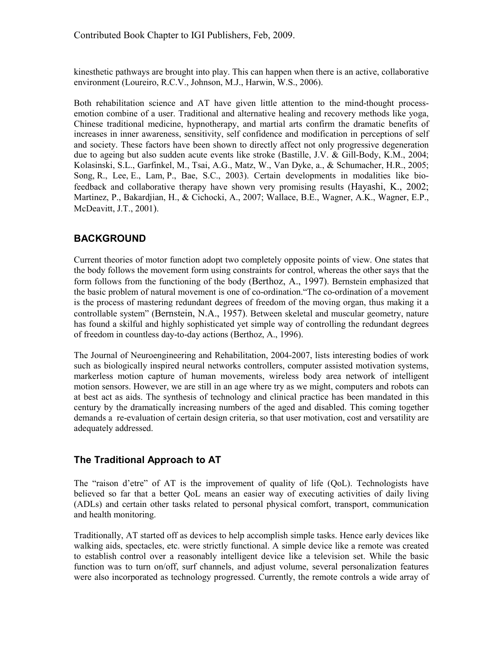kinesthetic pathways are brought into play. This can happen when there is an active, collaborative environment (Loureiro, R.C.V., Johnson, M.J., Harwin, W.S., 2006).

Both rehabilitation science and AT have given little attention to the mind-thought processemotion combine of a user. Traditional and alternative healing and recovery methods like yoga, Chinese traditional medicine, hypnotherapy, and martial arts confirm the dramatic benefits of increases in inner awareness, sensitivity, self confidence and modification in perceptions of self and society. These factors have been shown to directly affect not only progressive degeneration due to ageing but also sudden acute events like stroke (Bastille, J.V. & Gill-Body, K.M., 2004; Kolasinski, S.L., Garfinkel, M., Tsai, A.G., Matz, W., Van Dyke, a., & Schumacher, H.R., 2005; Song, R., Lee, E., Lam, P., Bae, S.C., 2003). Certain developments in modalities like biofeedback and collaborative therapy have shown very promising results (Hayashi, K., 2002; Martinez, P., Bakardjian, H., & Cichocki, A., 2007; Wallace, B.E., Wagner, A.K., Wagner, E.P., McDeavitt, J.T., 2001).

# BACKGROUND

Current theories of motor function adopt two completely opposite points of view. One states that the body follows the movement form using constraints for control, whereas the other says that the form follows from the functioning of the body (Berthoz, A., 1997). Bernstein emphasized that the basic problem of natural movement is one of co-ordination."The co-ordination of a movement is the process of mastering redundant degrees of freedom of the moving organ, thus making it a controllable system" (Bernstein, N.A., 1957). Between skeletal and muscular geometry, nature has found a skilful and highly sophisticated yet simple way of controlling the redundant degrees of freedom in countless day-to-day actions (Berthoz, A., 1996).

The Journal of Neuroengineering and Rehabilitation, 2004-2007, lists interesting bodies of work such as biologically inspired neural networks controllers, computer assisted motivation systems, markerless motion capture of human movements, wireless body area network of intelligent motion sensors. However, we are still in an age where try as we might, computers and robots can at best act as aids. The synthesis of technology and clinical practice has been mandated in this century by the dramatically increasing numbers of the aged and disabled. This coming together demands a re-evaluation of certain design criteria, so that user motivation, cost and versatility are adequately addressed.

#### The Traditional Approach to AT

The "raison d'etre" of AT is the improvement of quality of life (QoL). Technologists have believed so far that a better QoL means an easier way of executing activities of daily living (ADLs) and certain other tasks related to personal physical comfort, transport, communication and health monitoring.

Traditionally, AT started off as devices to help accomplish simple tasks. Hence early devices like walking aids, spectacles, etc. were strictly functional. A simple device like a remote was created to establish control over a reasonably intelligent device like a television set. While the basic function was to turn on/off, surf channels, and adjust volume, several personalization features were also incorporated as technology progressed. Currently, the remote controls a wide array of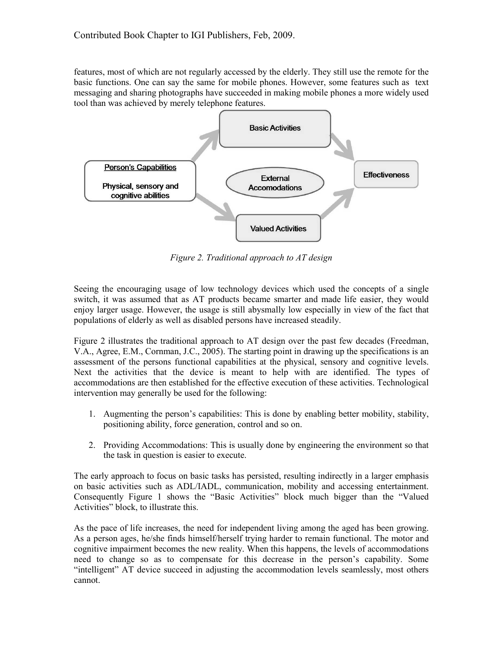features, most of which are not regularly accessed by the elderly. They still use the remote for the basic functions. One can say the same for mobile phones. However, some features such as text messaging and sharing photographs have succeeded in making mobile phones a more widely used tool than was achieved by merely telephone features.



Figure 2. Traditional approach to AT design

Seeing the encouraging usage of low technology devices which used the concepts of a single switch, it was assumed that as AT products became smarter and made life easier, they would enjoy larger usage. However, the usage is still abysmally low especially in view of the fact that populations of elderly as well as disabled persons have increased steadily.

Figure 2 illustrates the traditional approach to AT design over the past few decades (Freedman, V.A., Agree, E.M., Cornman, J.C., 2005). The starting point in drawing up the specifications is an assessment of the persons functional capabilities at the physical, sensory and cognitive levels. Next the activities that the device is meant to help with are identified. The types of accommodations are then established for the effective execution of these activities. Technological intervention may generally be used for the following:

- 1. Augmenting the person's capabilities: This is done by enabling better mobility, stability, positioning ability, force generation, control and so on.
- 2. Providing Accommodations: This is usually done by engineering the environment so that the task in question is easier to execute.

The early approach to focus on basic tasks has persisted, resulting indirectly in a larger emphasis on basic activities such as ADL/IADL, communication, mobility and accessing entertainment. Consequently Figure 1 shows the "Basic Activities" block much bigger than the "Valued Activities" block, to illustrate this.

As the pace of life increases, the need for independent living among the aged has been growing. As a person ages, he/she finds himself/herself trying harder to remain functional. The motor and cognitive impairment becomes the new reality. When this happens, the levels of accommodations need to change so as to compensate for this decrease in the person's capability. Some "intelligent" AT device succeed in adjusting the accommodation levels seamlessly, most others cannot.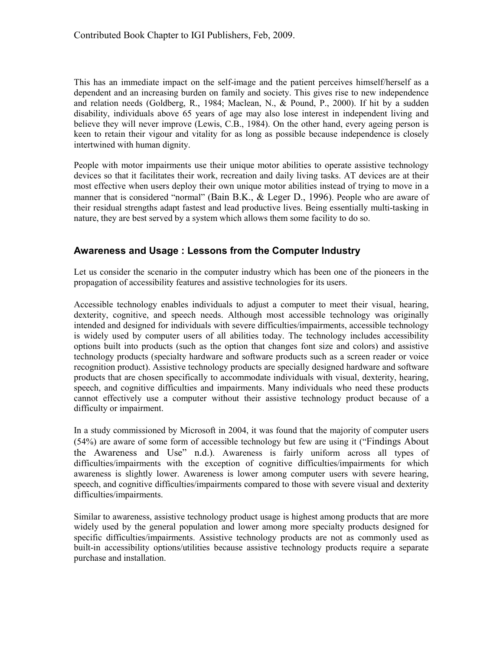This has an immediate impact on the self-image and the patient perceives himself/herself as a dependent and an increasing burden on family and society. This gives rise to new independence and relation needs (Goldberg, R., 1984; Maclean, N., & Pound, P., 2000). If hit by a sudden disability, individuals above 65 years of age may also lose interest in independent living and believe they will never improve (Lewis, C.B., 1984). On the other hand, every ageing person is keen to retain their vigour and vitality for as long as possible because independence is closely intertwined with human dignity.

People with motor impairments use their unique motor abilities to operate assistive technology devices so that it facilitates their work, recreation and daily living tasks. AT devices are at their most effective when users deploy their own unique motor abilities instead of trying to move in a manner that is considered "normal" (Bain B.K., & Leger D., 1996). People who are aware of their residual strengths adapt fastest and lead productive lives. Being essentially multi-tasking in nature, they are best served by a system which allows them some facility to do so.

#### Awareness and Usage : Lessons from the Computer Industry

Let us consider the scenario in the computer industry which has been one of the pioneers in the propagation of accessibility features and assistive technologies for its users.

Accessible technology enables individuals to adjust a computer to meet their visual, hearing, dexterity, cognitive, and speech needs. Although most accessible technology was originally intended and designed for individuals with severe difficulties/impairments, accessible technology is widely used by computer users of all abilities today. The technology includes accessibility options built into products (such as the option that changes font size and colors) and assistive technology products (specialty hardware and software products such as a screen reader or voice recognition product). Assistive technology products are specially designed hardware and software products that are chosen specifically to accommodate individuals with visual, dexterity, hearing, speech, and cognitive difficulties and impairments. Many individuals who need these products cannot effectively use a computer without their assistive technology product because of a difficulty or impairment.

In a study commissioned by Microsoft in 2004, it was found that the majority of computer users (54%) are aware of some form of accessible technology but few are using it ("Findings About the Awareness and Use" n.d.). Awareness is fairly uniform across all types of difficulties/impairments with the exception of cognitive difficulties/impairments for which awareness is slightly lower. Awareness is lower among computer users with severe hearing, speech, and cognitive difficulties/impairments compared to those with severe visual and dexterity difficulties/impairments.

Similar to awareness, assistive technology product usage is highest among products that are more widely used by the general population and lower among more specialty products designed for specific difficulties/impairments. Assistive technology products are not as commonly used as built-in accessibility options/utilities because assistive technology products require a separate purchase and installation.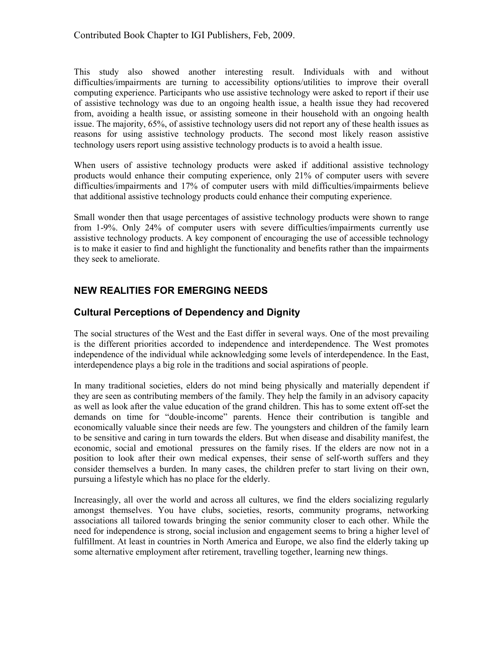This study also showed another interesting result. Individuals with and without difficulties/impairments are turning to accessibility options/utilities to improve their overall computing experience. Participants who use assistive technology were asked to report if their use of assistive technology was due to an ongoing health issue, a health issue they had recovered from, avoiding a health issue, or assisting someone in their household with an ongoing health issue. The majority, 65%, of assistive technology users did not report any of these health issues as reasons for using assistive technology products. The second most likely reason assistive technology users report using assistive technology products is to avoid a health issue.

When users of assistive technology products were asked if additional assistive technology products would enhance their computing experience, only 21% of computer users with severe difficulties/impairments and 17% of computer users with mild difficulties/impairments believe that additional assistive technology products could enhance their computing experience.

Small wonder then that usage percentages of assistive technology products were shown to range from 1-9%. Only 24% of computer users with severe difficulties/impairments currently use assistive technology products. A key component of encouraging the use of accessible technology is to make it easier to find and highlight the functionality and benefits rather than the impairments they seek to ameliorate.

## NEW REALITIES FOR EMERGING NEEDS

#### Cultural Perceptions of Dependency and Dignity

The social structures of the West and the East differ in several ways. One of the most prevailing is the different priorities accorded to independence and interdependence. The West promotes independence of the individual while acknowledging some levels of interdependence. In the East, interdependence plays a big role in the traditions and social aspirations of people.

In many traditional societies, elders do not mind being physically and materially dependent if they are seen as contributing members of the family. They help the family in an advisory capacity as well as look after the value education of the grand children. This has to some extent off-set the demands on time for "double-income" parents. Hence their contribution is tangible and economically valuable since their needs are few. The youngsters and children of the family learn to be sensitive and caring in turn towards the elders. But when disease and disability manifest, the economic, social and emotional pressures on the family rises. If the elders are now not in a position to look after their own medical expenses, their sense of self-worth suffers and they consider themselves a burden. In many cases, the children prefer to start living on their own, pursuing a lifestyle which has no place for the elderly.

Increasingly, all over the world and across all cultures, we find the elders socializing regularly amongst themselves. You have clubs, societies, resorts, community programs, networking associations all tailored towards bringing the senior community closer to each other. While the need for independence is strong, social inclusion and engagement seems to bring a higher level of fulfillment. At least in countries in North America and Europe, we also find the elderly taking up some alternative employment after retirement, travelling together, learning new things.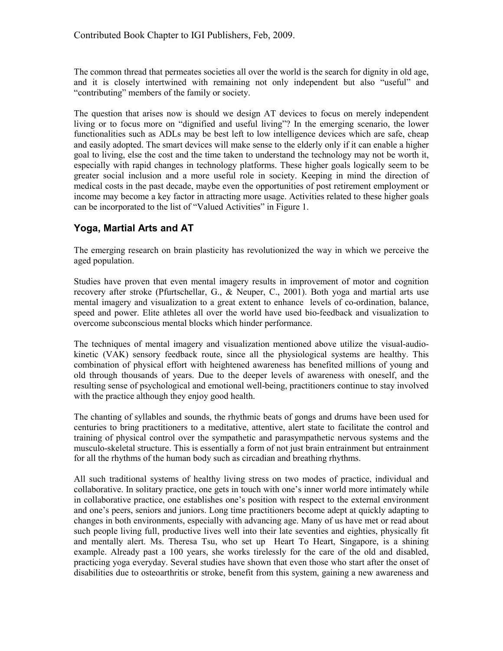The common thread that permeates societies all over the world is the search for dignity in old age, and it is closely intertwined with remaining not only independent but also "useful" and "contributing" members of the family or society.

The question that arises now is should we design AT devices to focus on merely independent living or to focus more on "dignified and useful living"? In the emerging scenario, the lower functionalities such as ADLs may be best left to low intelligence devices which are safe, cheap and easily adopted. The smart devices will make sense to the elderly only if it can enable a higher goal to living, else the cost and the time taken to understand the technology may not be worth it, especially with rapid changes in technology platforms. These higher goals logically seem to be greater social inclusion and a more useful role in society. Keeping in mind the direction of medical costs in the past decade, maybe even the opportunities of post retirement employment or income may become a key factor in attracting more usage. Activities related to these higher goals can be incorporated to the list of "Valued Activities" in Figure 1.

## Yoga, Martial Arts and AT

The emerging research on brain plasticity has revolutionized the way in which we perceive the aged population.

Studies have proven that even mental imagery results in improvement of motor and cognition recovery after stroke (Pfurtschellar, G., & Neuper, C., 2001). Both yoga and martial arts use mental imagery and visualization to a great extent to enhance levels of co-ordination, balance, speed and power. Elite athletes all over the world have used bio-feedback and visualization to overcome subconscious mental blocks which hinder performance.

The techniques of mental imagery and visualization mentioned above utilize the visual-audiokinetic (VAK) sensory feedback route, since all the physiological systems are healthy. This combination of physical effort with heightened awareness has benefited millions of young and old through thousands of years. Due to the deeper levels of awareness with oneself, and the resulting sense of psychological and emotional well-being, practitioners continue to stay involved with the practice although they enjoy good health.

The chanting of syllables and sounds, the rhythmic beats of gongs and drums have been used for centuries to bring practitioners to a meditative, attentive, alert state to facilitate the control and training of physical control over the sympathetic and parasympathetic nervous systems and the musculo-skeletal structure. This is essentially a form of not just brain entrainment but entrainment for all the rhythms of the human body such as circadian and breathing rhythms.

All such traditional systems of healthy living stress on two modes of practice, individual and collaborative. In solitary practice, one gets in touch with one's inner world more intimately while in collaborative practice, one establishes one's position with respect to the external environment and one's peers, seniors and juniors. Long time practitioners become adept at quickly adapting to changes in both environments, especially with advancing age. Many of us have met or read about such people living full, productive lives well into their late seventies and eighties, physically fit and mentally alert. Ms. Theresa Tsu, who set up Heart To Heart, Singapore, is a shining example. Already past a 100 years, she works tirelessly for the care of the old and disabled, practicing yoga everyday. Several studies have shown that even those who start after the onset of disabilities due to osteoarthritis or stroke, benefit from this system, gaining a new awareness and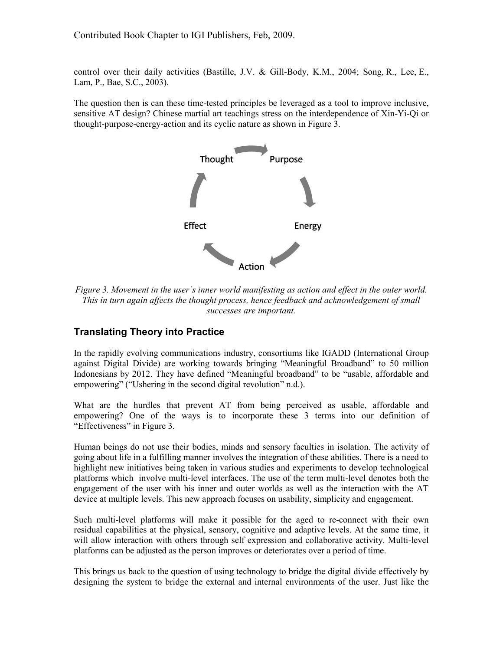control over their daily activities (Bastille, J.V. & Gill-Body, K.M., 2004; Song, R., Lee, E., Lam, P., Bae, S.C., 2003).

The question then is can these time-tested principles be leveraged as a tool to improve inclusive, sensitive AT design? Chinese martial art teachings stress on the interdependence of Xin-Yi-Qi or thought-purpose-energy-action and its cyclic nature as shown in Figure 3.



Figure 3. Movement in the user's inner world manifesting as action and effect in the outer world. This in turn again affects the thought process, hence feedback and acknowledgement of small successes are important.

#### Translating Theory into Practice

In the rapidly evolving communications industry, consortiums like IGADD (International Group against Digital Divide) are working towards bringing "Meaningful Broadband" to 50 million Indonesians by 2012. They have defined "Meaningful broadband" to be "usable, affordable and empowering" ("Ushering in the second digital revolution" n.d.).

What are the hurdles that prevent AT from being perceived as usable, affordable and empowering? One of the ways is to incorporate these 3 terms into our definition of "Effectiveness" in Figure 3.

Human beings do not use their bodies, minds and sensory faculties in isolation. The activity of going about life in a fulfilling manner involves the integration of these abilities. There is a need to highlight new initiatives being taken in various studies and experiments to develop technological platforms which involve multi-level interfaces. The use of the term multi-level denotes both the engagement of the user with his inner and outer worlds as well as the interaction with the AT device at multiple levels. This new approach focuses on usability, simplicity and engagement.

Such multi-level platforms will make it possible for the aged to re-connect with their own residual capabilities at the physical, sensory, cognitive and adaptive levels. At the same time, it will allow interaction with others through self expression and collaborative activity. Multi-level platforms can be adjusted as the person improves or deteriorates over a period of time.

This brings us back to the question of using technology to bridge the digital divide effectively by designing the system to bridge the external and internal environments of the user. Just like the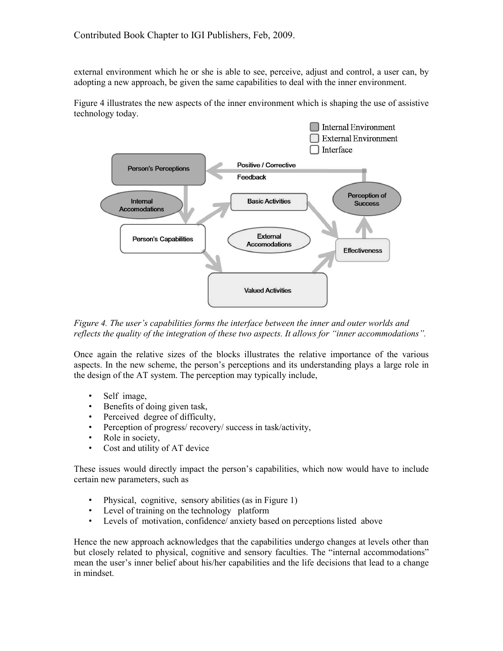external environment which he or she is able to see, perceive, adjust and control, a user can, by adopting a new approach, be given the same capabilities to deal with the inner environment.

Figure 4 illustrates the new aspects of the inner environment which is shaping the use of assistive technology today.



Figure 4. The user's capabilities forms the interface between the inner and outer worlds and reflects the quality of the integration of these two aspects. It allows for "inner accommodations".

Once again the relative sizes of the blocks illustrates the relative importance of the various aspects. In the new scheme, the person's perceptions and its understanding plays a large role in the design of the AT system. The perception may typically include,

- Self image,
- Benefits of doing given task,
- Perceived degree of difficulty,
- Perception of progress/ recovery/ success in task/activity,
- Role in society,
- Cost and utility of AT device

These issues would directly impact the person's capabilities, which now would have to include certain new parameters, such as

- Physical, cognitive, sensory abilities (as in Figure 1)
- Level of training on the technology platform
- Levels of motivation, confidence/ anxiety based on perceptions listed above

Hence the new approach acknowledges that the capabilities undergo changes at levels other than but closely related to physical, cognitive and sensory faculties. The "internal accommodations" mean the user's inner belief about his/her capabilities and the life decisions that lead to a change in mindset.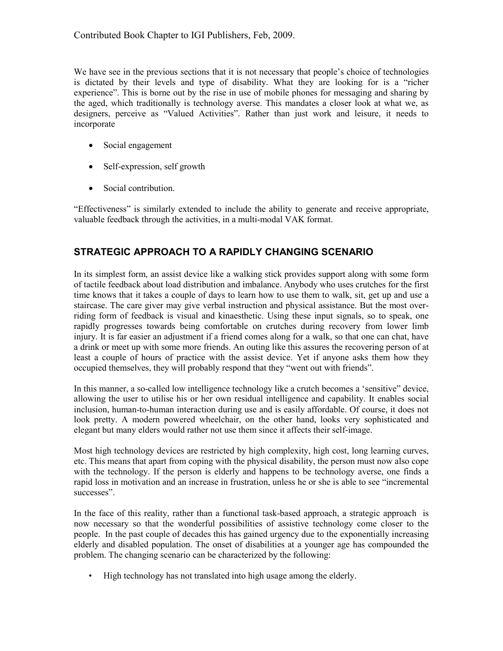We have see in the previous sections that it is not necessary that people's choice of technologies is dictated by their levels and type of disability. What they are looking for is a "richer experience". This is borne out by the rise in use of mobile phones for messaging and sharing by the aged, which traditionally is technology averse. This mandates a closer look at what we, as designers, perceive as "Valued Activities". Rather than just work and leisure, it needs to incorporate

- Social engagement
- Self-expression, self growth
- Social contribution.

"Effectiveness" is similarly extended to include the ability to generate and receive appropriate, valuable feedback through the activities, in a multi-modal VAK format.

#### STRATEGIC APPROACH TO A RAPIDLY CHANGING SCENARIO

In its simplest form, an assist device like a walking stick provides support along with some form of tactile feedback about load distribution and imbalance. Anybody who uses crutches for the first time knows that it takes a couple of days to learn how to use them to walk, sit, get up and use a staircase. The care giver may give verbal instruction and physical assistance. But the most overriding form of feedback is visual and kinaesthetic. Using these input signals, so to speak, one rapidly progresses towards being comfortable on crutches during recovery from lower limb injury. It is far easier an adjustment if a friend comes along for a walk, so that one can chat, have a drink or meet up with some more friends. An outing like this assures the recovering person of at least a couple of hours of practice with the assist device. Yet if anyone asks them how they occupied themselves, they will probably respond that they "went out with friends".

In this manner, a so-called low intelligence technology like a crutch becomes a 'sensitive" device, allowing the user to utilise his or her own residual intelligence and capability. It enables social inclusion, human-to-human interaction during use and is easily affordable. Of course, it does not look pretty. A modern powered wheelchair, on the other hand, looks very sophisticated and elegant but many elders would rather not use them since it affects their self-image.

Most high technology devices are restricted by high complexity, high cost, long learning curves, etc. This means that apart from coping with the physical disability, the person must now also cope with the technology. If the person is elderly and happens to be technology averse, one finds a rapid loss in motivation and an increase in frustration, unless he or she is able to see "incremental successes".

In the face of this reality, rather than a functional task-based approach, a strategic approach is now necessary so that the wonderful possibilities of assistive technology come closer to the people. In the past couple of decades this has gained urgency due to the exponentially increasing elderly and disabled population. The onset of disabilities at a younger age has compounded the problem. The changing scenario can be characterized by the following:

• High technology has not translated into high usage among the elderly.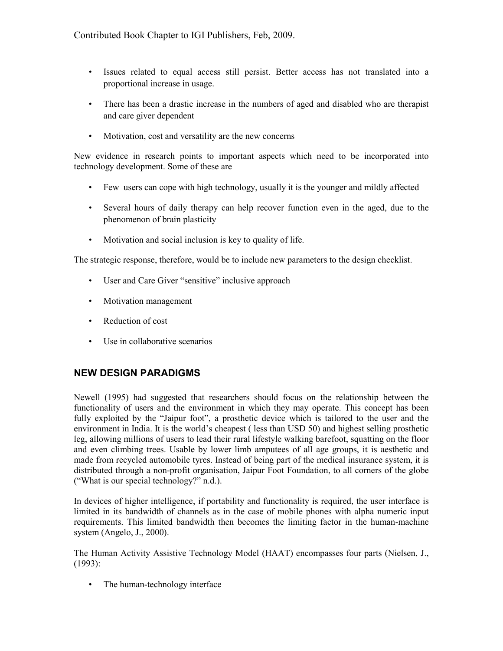- Issues related to equal access still persist. Better access has not translated into a proportional increase in usage.
- There has been a drastic increase in the numbers of aged and disabled who are therapist and care giver dependent
- Motivation, cost and versatility are the new concerns

New evidence in research points to important aspects which need to be incorporated into technology development. Some of these are

- Few users can cope with high technology, usually it is the younger and mildly affected
- Several hours of daily therapy can help recover function even in the aged, due to the phenomenon of brain plasticity
- Motivation and social inclusion is key to quality of life.

The strategic response, therefore, would be to include new parameters to the design checklist.

- User and Care Giver "sensitive" inclusive approach
- Motivation management
- Reduction of cost
- Use in collaborative scenarios

#### NEW DESIGN PARADIGMS

Newell (1995) had suggested that researchers should focus on the relationship between the functionality of users and the environment in which they may operate. This concept has been fully exploited by the "Jaipur foot", a prosthetic device which is tailored to the user and the environment in India. It is the world's cheapest ( less than USD 50) and highest selling prosthetic leg, allowing millions of users to lead their rural lifestyle walking barefoot, squatting on the floor and even climbing trees. Usable by lower limb amputees of all age groups, it is aesthetic and made from recycled automobile tyres. Instead of being part of the medical insurance system, it is distributed through a non-profit organisation, Jaipur Foot Foundation, to all corners of the globe ("What is our special technology?" n.d.).

In devices of higher intelligence, if portability and functionality is required, the user interface is limited in its bandwidth of channels as in the case of mobile phones with alpha numeric input requirements. This limited bandwidth then becomes the limiting factor in the human-machine system (Angelo, J., 2000).

The Human Activity Assistive Technology Model (HAAT) encompasses four parts (Nielsen, J., (1993):

• The human-technology interface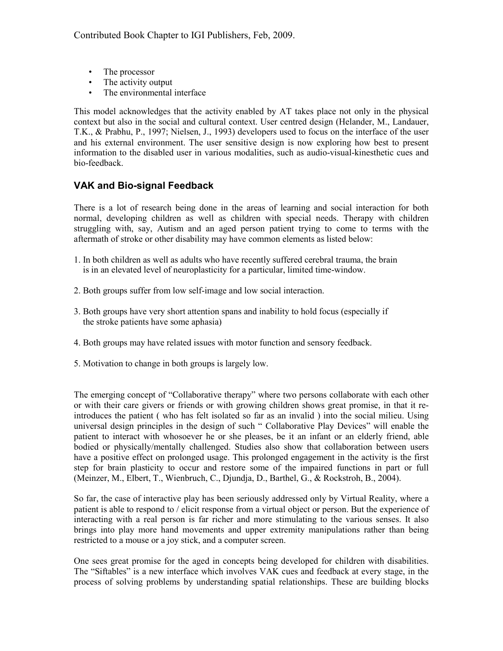- The processor
- The activity output
- The environmental interface

This model acknowledges that the activity enabled by AT takes place not only in the physical context but also in the social and cultural context. User centred design (Helander, M., Landauer, T.K., & Prabhu, P., 1997; Nielsen, J., 1993) developers used to focus on the interface of the user and his external environment. The user sensitive design is now exploring how best to present information to the disabled user in various modalities, such as audio-visual-kinesthetic cues and bio-feedback.

#### VAK and Bio-signal Feedback

There is a lot of research being done in the areas of learning and social interaction for both normal, developing children as well as children with special needs. Therapy with children struggling with, say, Autism and an aged person patient trying to come to terms with the aftermath of stroke or other disability may have common elements as listed below:

- 1. In both children as well as adults who have recently suffered cerebral trauma, the brain is in an elevated level of neuroplasticity for a particular, limited time-window.
- 2. Both groups suffer from low self-image and low social interaction.
- 3. Both groups have very short attention spans and inability to hold focus (especially if the stroke patients have some aphasia)
- 4. Both groups may have related issues with motor function and sensory feedback.
- 5. Motivation to change in both groups is largely low.

The emerging concept of "Collaborative therapy" where two persons collaborate with each other or with their care givers or friends or with growing children shows great promise, in that it reintroduces the patient ( who has felt isolated so far as an invalid ) into the social milieu. Using universal design principles in the design of such " Collaborative Play Devices" will enable the patient to interact with whosoever he or she pleases, be it an infant or an elderly friend, able bodied or physically/mentally challenged. Studies also show that collaboration between users have a positive effect on prolonged usage. This prolonged engagement in the activity is the first step for brain plasticity to occur and restore some of the impaired functions in part or full (Meinzer, M., Elbert, T., Wienbruch, C., Djundja, D., Barthel, G., & Rockstroh, B., 2004).

So far, the case of interactive play has been seriously addressed only by Virtual Reality, where a patient is able to respond to / elicit response from a virtual object or person. But the experience of interacting with a real person is far richer and more stimulating to the various senses. It also brings into play more hand movements and upper extremity manipulations rather than being restricted to a mouse or a joy stick, and a computer screen.

One sees great promise for the aged in concepts being developed for children with disabilities. The "Siftables" is a new interface which involves VAK cues and feedback at every stage, in the process of solving problems by understanding spatial relationships. These are building blocks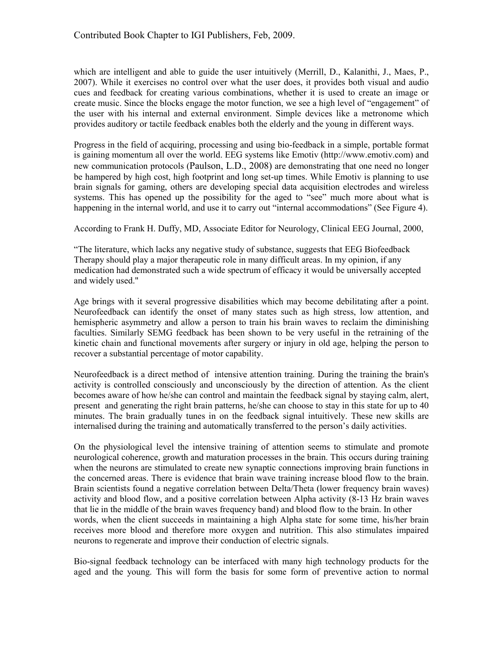which are intelligent and able to guide the user intuitively (Merrill, D., Kalanithi, J., Maes, P., 2007). While it exercises no control over what the user does, it provides both visual and audio cues and feedback for creating various combinations, whether it is used to create an image or create music. Since the blocks engage the motor function, we see a high level of "engagement" of the user with his internal and external environment. Simple devices like a metronome which provides auditory or tactile feedback enables both the elderly and the young in different ways.

Progress in the field of acquiring, processing and using bio-feedback in a simple, portable format is gaining momentum all over the world. EEG systems like Emotiv (http://www.emotiv.com) and new communication protocols (Paulson, L.D., 2008) are demonstrating that one need no longer be hampered by high cost, high footprint and long set-up times. While Emotiv is planning to use brain signals for gaming, others are developing special data acquisition electrodes and wireless systems. This has opened up the possibility for the aged to "see" much more about what is happening in the internal world, and use it to carry out "internal accommodations" (See Figure 4).

According to Frank H. Duffy, MD, Associate Editor for Neurology, Clinical EEG Journal, 2000,

"The literature, which lacks any negative study of substance, suggests that EEG Biofeedback Therapy should play a major therapeutic role in many difficult areas. In my opinion, if any medication had demonstrated such a wide spectrum of efficacy it would be universally accepted and widely used."

Age brings with it several progressive disabilities which may become debilitating after a point. Neurofeedback can identify the onset of many states such as high stress, low attention, and hemispheric asymmetry and allow a person to train his brain waves to reclaim the diminishing faculties. Similarly SEMG feedback has been shown to be very useful in the retraining of the kinetic chain and functional movements after surgery or injury in old age, helping the person to recover a substantial percentage of motor capability.

Neurofeedback is a direct method of intensive attention training. During the training the brain's activity is controlled consciously and unconsciously by the direction of attention. As the client becomes aware of how he/she can control and maintain the feedback signal by staying calm, alert, present and generating the right brain patterns, he/she can choose to stay in this state for up to 40 minutes. The brain gradually tunes in on the feedback signal intuitively. These new skills are internalised during the training and automatically transferred to the person's daily activities.

On the physiological level the intensive training of attention seems to stimulate and promote neurological coherence, growth and maturation processes in the brain. This occurs during training when the neurons are stimulated to create new synaptic connections improving brain functions in the concerned areas. There is evidence that brain wave training increase blood flow to the brain. Brain scientists found a negative correlation between Delta/Theta (lower frequency brain waves) activity and blood flow, and a positive correlation between Alpha activity (8-13 Hz brain waves that lie in the middle of the brain waves frequency band) and blood flow to the brain. In other words, when the client succeeds in maintaining a high Alpha state for some time, his/her brain receives more blood and therefore more oxygen and nutrition. This also stimulates impaired neurons to regenerate and improve their conduction of electric signals.

Bio-signal feedback technology can be interfaced with many high technology products for the aged and the young. This will form the basis for some form of preventive action to normal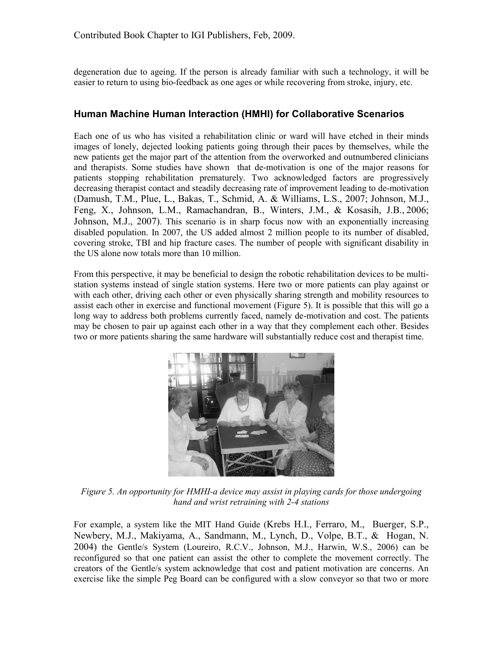degeneration due to ageing. If the person is already familiar with such a technology, it will be easier to return to using bio-feedback as one ages or while recovering from stroke, injury, etc.

#### Human Machine Human Interaction (HMHI) for Collaborative Scenarios

Each one of us who has visited a rehabilitation clinic or ward will have etched in their minds images of lonely, dejected looking patients going through their paces by themselves, while the new patients get the major part of the attention from the overworked and outnumbered clinicians and therapists. Some studies have shown that de-motivation is one of the major reasons for patients stopping rehabilitation prematurely. Two acknowledged factors are progressively decreasing therapist contact and steadily decreasing rate of improvement leading to de-motivation (Damush, T.M., Plue, L., Bakas, T., Schmid, A. & Williams, L.S., 2007; Johnson, M.J., Feng, X., Johnson, L.M., Ramachandran, B., Winters, J.M., & Kosasih, J.B., 2006; Johnson, M.J., 2007). This scenario is in sharp focus now with an exponentially increasing disabled population. In 2007, the US added almost 2 million people to its number of disabled, covering stroke, TBI and hip fracture cases. The number of people with significant disability in the US alone now totals more than 10 million.

From this perspective, it may be beneficial to design the robotic rehabilitation devices to be multistation systems instead of single station systems. Here two or more patients can play against or with each other, driving each other or even physically sharing strength and mobility resources to assist each other in exercise and functional movement (Figure 5). It is possible that this will go a long way to address both problems currently faced, namely de-motivation and cost. The patients may be chosen to pair up against each other in a way that they complement each other. Besides two or more patients sharing the same hardware will substantially reduce cost and therapist time.



Figure 5. An opportunity for HMHI-a device may assist in playing cards for those undergoing hand and wrist retraining with 2-4 stations

For example, a system like the MIT Hand Guide (Krebs H.I., Ferraro, M., Buerger, S.P., Newbery, M.J., Makiyama, A., Sandmann, M., Lynch, D., Volpe, B.T., & Hogan, N. 2004) the Gentle/s System (Loureiro, R.C.V., Johnson, M.J., Harwin, W.S., 2006) can be reconfigured so that one patient can assist the other to complete the movement correctly. The creators of the Gentle/s system acknowledge that cost and patient motivation are concerns. An exercise like the simple Peg Board can be configured with a slow conveyor so that two or more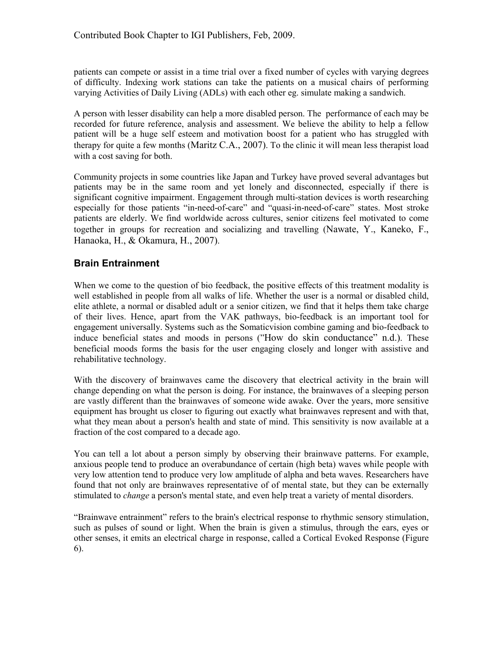patients can compete or assist in a time trial over a fixed number of cycles with varying degrees of difficulty. Indexing work stations can take the patients on a musical chairs of performing varying Activities of Daily Living (ADLs) with each other eg. simulate making a sandwich.

A person with lesser disability can help a more disabled person. The performance of each may be recorded for future reference, analysis and assessment. We believe the ability to help a fellow patient will be a huge self esteem and motivation boost for a patient who has struggled with therapy for quite a few months (Maritz C.A., 2007). To the clinic it will mean less therapist load with a cost saving for both.

Community projects in some countries like Japan and Turkey have proved several advantages but patients may be in the same room and yet lonely and disconnected, especially if there is significant cognitive impairment. Engagement through multi-station devices is worth researching especially for those patients "in-need-of-care" and "quasi-in-need-of-care" states. Most stroke patients are elderly. We find worldwide across cultures, senior citizens feel motivated to come together in groups for recreation and socializing and travelling (Nawate, Y., Kaneko, F., Hanaoka, H., & Okamura, H., 2007).

## Brain Entrainment

When we come to the question of bio feedback, the positive effects of this treatment modality is well established in people from all walks of life. Whether the user is a normal or disabled child, elite athlete, a normal or disabled adult or a senior citizen, we find that it helps them take charge of their lives. Hence, apart from the VAK pathways, bio-feedback is an important tool for engagement universally. Systems such as the Somaticvision combine gaming and bio-feedback to induce beneficial states and moods in persons ("How do skin conductance" n.d.). These beneficial moods forms the basis for the user engaging closely and longer with assistive and rehabilitative technology.

With the discovery of brainwaves came the discovery that electrical activity in the brain will change depending on what the person is doing. For instance, the brainwaves of a sleeping person are vastly different than the brainwaves of someone wide awake. Over the years, more sensitive equipment has brought us closer to figuring out exactly what brainwaves represent and with that, what they mean about a person's health and state of mind. This sensitivity is now available at a fraction of the cost compared to a decade ago.

You can tell a lot about a person simply by observing their brainwave patterns. For example, anxious people tend to produce an overabundance of certain (high beta) waves while people with very low attention tend to produce very low amplitude of alpha and beta waves. Researchers have found that not only are brainwaves representative of of mental state, but they can be externally stimulated to *change* a person's mental state, and even help treat a variety of mental disorders.

"Brainwave entrainment" refers to the brain's electrical response to rhythmic sensory stimulation, such as pulses of sound or light. When the brain is given a stimulus, through the ears, eyes or other senses, it emits an electrical charge in response, called a Cortical Evoked Response (Figure 6).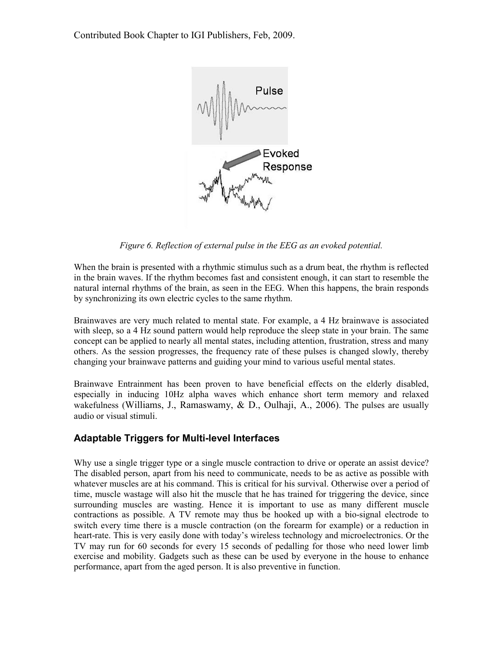Contributed Book Chapter to IGI Publishers, Feb, 2009.



Figure 6. Reflection of external pulse in the EEG as an evoked potential.

When the brain is presented with a rhythmic stimulus such as a drum beat, the rhythm is reflected in the brain waves. If the rhythm becomes fast and consistent enough, it can start to resemble the natural internal rhythms of the brain, as seen in the EEG. When this happens, the brain responds by synchronizing its own electric cycles to the same rhythm.

Brainwaves are very much related to mental state. For example, a 4 Hz brainwave is associated with sleep, so a 4 Hz sound pattern would help reproduce the sleep state in your brain. The same concept can be applied to nearly all mental states, including attention, frustration, stress and many others. As the session progresses, the frequency rate of these pulses is changed slowly, thereby changing your brainwave patterns and guiding your mind to various useful mental states.

Brainwave Entrainment has been proven to have beneficial effects on the elderly disabled, especially in inducing 10Hz alpha waves which enhance short term memory and relaxed wakefulness (Williams, J., Ramaswamy, & D., Oulhaji, A., 2006). The pulses are usually audio or visual stimuli.

#### Adaptable Triggers for Multi-level Interfaces

Why use a single trigger type or a single muscle contraction to drive or operate an assist device? The disabled person, apart from his need to communicate, needs to be as active as possible with whatever muscles are at his command. This is critical for his survival. Otherwise over a period of time, muscle wastage will also hit the muscle that he has trained for triggering the device, since surrounding muscles are wasting. Hence it is important to use as many different muscle contractions as possible. A TV remote may thus be hooked up with a bio-signal electrode to switch every time there is a muscle contraction (on the forearm for example) or a reduction in heart-rate. This is very easily done with today's wireless technology and microelectronics. Or the TV may run for 60 seconds for every 15 seconds of pedalling for those who need lower limb exercise and mobility. Gadgets such as these can be used by everyone in the house to enhance performance, apart from the aged person. It is also preventive in function.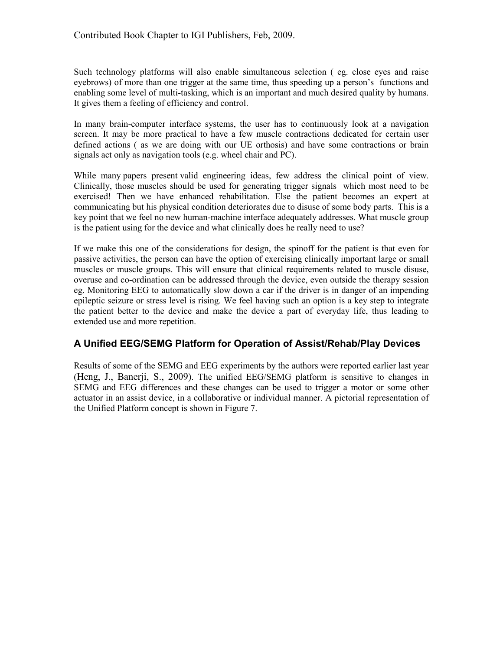Such technology platforms will also enable simultaneous selection ( eg. close eyes and raise eyebrows) of more than one trigger at the same time, thus speeding up a person's functions and enabling some level of multi-tasking, which is an important and much desired quality by humans. It gives them a feeling of efficiency and control.

In many brain-computer interface systems, the user has to continuously look at a navigation screen. It may be more practical to have a few muscle contractions dedicated for certain user defined actions ( as we are doing with our UE orthosis) and have some contractions or brain signals act only as navigation tools (e.g. wheel chair and PC).

While many papers present valid engineering ideas, few address the clinical point of view. Clinically, those muscles should be used for generating trigger signals which most need to be exercised! Then we have enhanced rehabilitation. Else the patient becomes an expert at communicating but his physical condition deteriorates due to disuse of some body parts. This is a key point that we feel no new human-machine interface adequately addresses. What muscle group is the patient using for the device and what clinically does he really need to use?

If we make this one of the considerations for design, the spinoff for the patient is that even for passive activities, the person can have the option of exercising clinically important large or small muscles or muscle groups. This will ensure that clinical requirements related to muscle disuse, overuse and co-ordination can be addressed through the device, even outside the therapy session eg. Monitoring EEG to automatically slow down a car if the driver is in danger of an impending epileptic seizure or stress level is rising. We feel having such an option is a key step to integrate the patient better to the device and make the device a part of everyday life, thus leading to extended use and more repetition.

#### A Unified EEG/SEMG Platform for Operation of Assist/Rehab/Play Devices

Results of some of the SEMG and EEG experiments by the authors were reported earlier last year (Heng, J., Banerji, S., 2009). The unified EEG/SEMG platform is sensitive to changes in SEMG and EEG differences and these changes can be used to trigger a motor or some other actuator in an assist device, in a collaborative or individual manner. A pictorial representation of the Unified Platform concept is shown in Figure 7.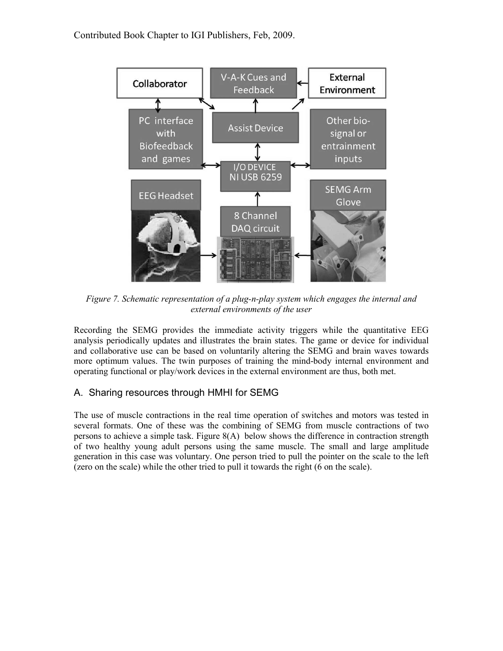Contributed Book Chapter to IGI Publishers, Feb, 2009.



Figure 7. Schematic representation of a plug-n-play system which engages the internal and external environments of the user

Recording the SEMG provides the immediate activity triggers while the quantitative EEG analysis periodically updates and illustrates the brain states. The game or device for individual and collaborative use can be based on voluntarily altering the SEMG and brain waves towards more optimum values. The twin purposes of training the mind-body internal environment and operating functional or play/work devices in the external environment are thus, both met.

#### A. Sharing resources through HMHI for SEMG

The use of muscle contractions in the real time operation of switches and motors was tested in several formats. One of these was the combining of SEMG from muscle contractions of two persons to achieve a simple task. Figure 8(A) below shows the difference in contraction strength of two healthy young adult persons using the same muscle. The small and large amplitude generation in this case was voluntary. One person tried to pull the pointer on the scale to the left (zero on the scale) while the other tried to pull it towards the right (6 on the scale).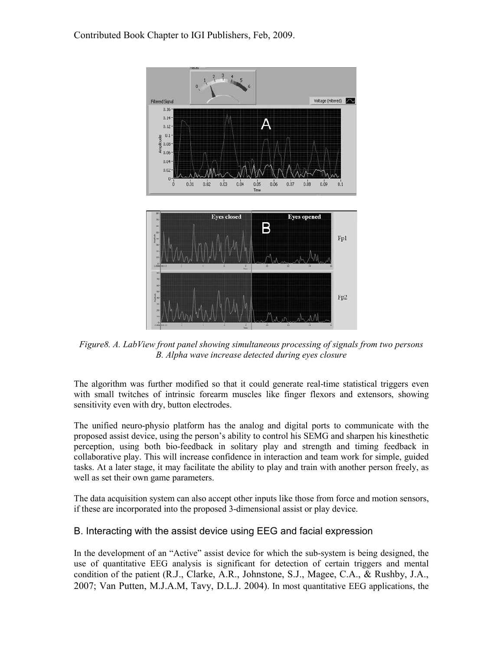Contributed Book Chapter to IGI Publishers, Feb, 2009.



Figure8. A. LabView front panel showing simultaneous processing of signals from two persons B. Alpha wave increase detected during eyes closure

The algorithm was further modified so that it could generate real-time statistical triggers even with small twitches of intrinsic forearm muscles like finger flexors and extensors, showing sensitivity even with dry, button electrodes.

The unified neuro-physio platform has the analog and digital ports to communicate with the proposed assist device, using the person's ability to control his SEMG and sharpen his kinesthetic perception, using both bio-feedback in solitary play and strength and timing feedback in collaborative play. This will increase confidence in interaction and team work for simple, guided tasks. At a later stage, it may facilitate the ability to play and train with another person freely, as well as set their own game parameters.

The data acquisition system can also accept other inputs like those from force and motion sensors, if these are incorporated into the proposed 3-dimensional assist or play device.

#### B. Interacting with the assist device using EEG and facial expression

In the development of an "Active" assist device for which the sub-system is being designed, the use of quantitative EEG analysis is significant for detection of certain triggers and mental condition of the patient (R.J., Clarke, A.R., Johnstone, S.J., Magee, C.A., & Rushby, J.A., 2007; Van Putten, M.J.A.M, Tavy, D.L.J. 2004). In most quantitative EEG applications, the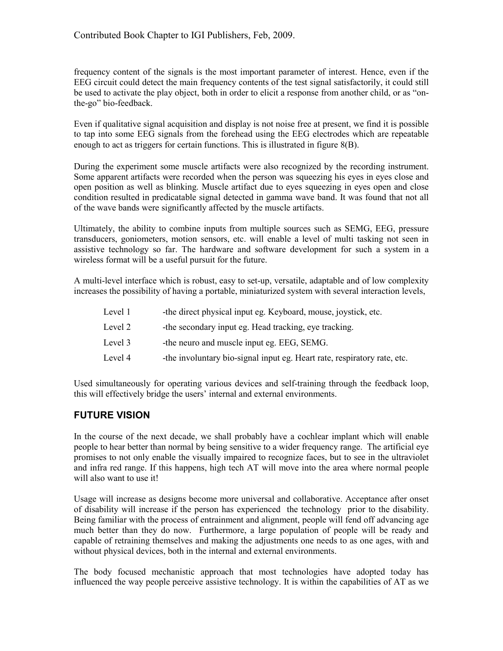frequency content of the signals is the most important parameter of interest. Hence, even if the EEG circuit could detect the main frequency contents of the test signal satisfactorily, it could still be used to activate the play object, both in order to elicit a response from another child, or as "onthe-go" bio-feedback.

Even if qualitative signal acquisition and display is not noise free at present, we find it is possible to tap into some EEG signals from the forehead using the EEG electrodes which are repeatable enough to act as triggers for certain functions. This is illustrated in figure 8(B).

During the experiment some muscle artifacts were also recognized by the recording instrument. Some apparent artifacts were recorded when the person was squeezing his eyes in eyes close and open position as well as blinking. Muscle artifact due to eyes squeezing in eyes open and close condition resulted in predicatable signal detected in gamma wave band. It was found that not all of the wave bands were significantly affected by the muscle artifacts.

Ultimately, the ability to combine inputs from multiple sources such as SEMG, EEG, pressure transducers, goniometers, motion sensors, etc. will enable a level of multi tasking not seen in assistive technology so far. The hardware and software development for such a system in a wireless format will be a useful pursuit for the future.

A multi-level interface which is robust, easy to set-up, versatile, adaptable and of low complexity increases the possibility of having a portable, miniaturized system with several interaction levels,

| Level 1 | -the direct physical input eg. Keyboard, mouse, joystick, etc.           |
|---------|--------------------------------------------------------------------------|
| Level 2 | -the secondary input eg. Head tracking, eye tracking.                    |
| Level 3 | -the neuro and muscle input eg. EEG, SEMG.                               |
| Level 4 | -the involuntary bio-signal input eg. Heart rate, respiratory rate, etc. |

Used simultaneously for operating various devices and self-training through the feedback loop, this will effectively bridge the users' internal and external environments.

# FUTURE VISION

In the course of the next decade, we shall probably have a cochlear implant which will enable people to hear better than normal by being sensitive to a wider frequency range. The artificial eye promises to not only enable the visually impaired to recognize faces, but to see in the ultraviolet and infra red range. If this happens, high tech AT will move into the area where normal people will also want to use it!

Usage will increase as designs become more universal and collaborative. Acceptance after onset of disability will increase if the person has experienced the technology prior to the disability. Being familiar with the process of entrainment and alignment, people will fend off advancing age much better than they do now. Furthermore, a large population of people will be ready and capable of retraining themselves and making the adjustments one needs to as one ages, with and without physical devices, both in the internal and external environments.

The body focused mechanistic approach that most technologies have adopted today has influenced the way people perceive assistive technology. It is within the capabilities of AT as we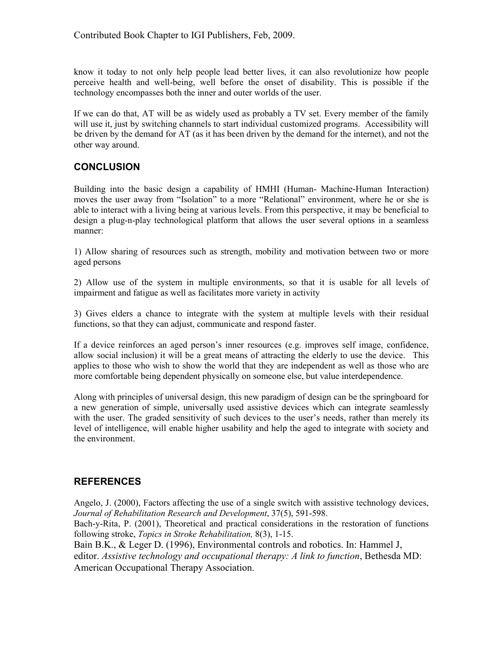know it today to not only help people lead better lives, it can also revolutionize how people perceive health and well-being, well before the onset of disability. This is possible if the technology encompasses both the inner and outer worlds of the user.

If we can do that, AT will be as widely used as probably a TV set. Every member of the family will use it, just by switching channels to start individual customized programs. Accessibility will be driven by the demand for AT (as it has been driven by the demand for the internet), and not the other way around.

#### **CONCLUSION**

Building into the basic design a capability of HMHI (Human- Machine-Human Interaction) moves the user away from "Isolation" to a more "Relational" environment, where he or she is able to interact with a living being at various levels. From this perspective, it may be beneficial to design a plug-n-play technological platform that allows the user several options in a seamless manner:

1) Allow sharing of resources such as strength, mobility and motivation between two or more aged persons

2) Allow use of the system in multiple environments, so that it is usable for all levels of impairment and fatigue as well as facilitates more variety in activity

3) Gives elders a chance to integrate with the system at multiple levels with their residual functions, so that they can adjust, communicate and respond faster.

If a device reinforces an aged person's inner resources (e.g. improves self image, confidence, allow social inclusion) it will be a great means of attracting the elderly to use the device. This applies to those who wish to show the world that they are independent as well as those who are more comfortable being dependent physically on someone else, but value interdependence.

Along with principles of universal design, this new paradigm of design can be the springboard for a new generation of simple, universally used assistive devices which can integrate seamlessly with the user. The graded sensitivity of such devices to the user's needs, rather than merely its level of intelligence, will enable higher usability and help the aged to integrate with society and the environment.

#### REFERENCES

Angelo, J. (2000), Factors affecting the use of a single switch with assistive technology devices, Journal of Rehabilitation Research and Development, 37(5), 591-598.

Bach-y-Rita, P. (2001), Theoretical and practical considerations in the restoration of functions following stroke, *Topics in Stroke Rehabilitation*, 8(3), 1-15.

Bain B.K., & Leger D. (1996), Environmental controls and robotics. In: Hammel J, editor. Assistive technology and occupational therapy: A link to function, Bethesda MD: American Occupational Therapy Association.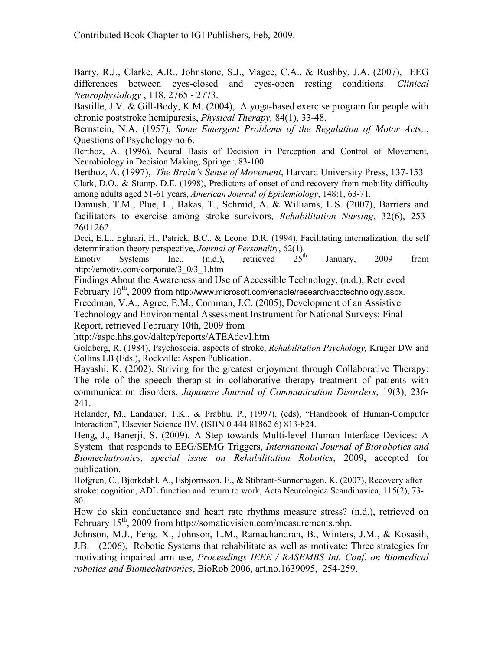Barry, R.J., Clarke, A.R., Johnstone, S.J., Magee, C.A., & Rushby, J.A. (2007), EEG differences between eyes-closed and eyes-open resting conditions. Clinical Neurophysiology , 118, 2765 - 2773.

Bastille, J.V. & Gill-Body, K.M. (2004), A yoga-based exercise program for people with chronic poststroke hemiparesis, Physical Therapy, 84(1), 33-48.

Bernstein, N.A. (1957), Some Emergent Problems of the Regulation of Motor Acts,., Questions of Psychology no.6.

Berthoz, A. (1996), Neural Basis of Decision in Perception and Control of Movement, Neurobiology in Decision Making, Springer, 83-100.

Berthoz, A. (1997), *The Brain's Sense of Movement*, Harvard University Press, 137-153 Clark, D.O., & Stump, D.E. (1998), Predictors of onset of and recovery from mobility difficulty among adults aged 51-61 years, American Journal of Epidemiology, 148:1, 63-71.

Damush, T.M., Plue, L., Bakas, T., Schmid, A. & Williams, L.S. (2007), Barriers and facilitators to exercise among stroke survivors, Rehabilitation Nursing, 32(6), 253- 260+262.

Deci, E.L., Eghrari, H., Patrick, B.C., & Leone. D.R. (1994), Facilitating internalization: the self determination theory perspective, Journal of Personality, 62(1).<br>Emotiv Systems Inc.. (n.d.). retrieved 25<sup>th</sup>

Emotiv Systems Inc.,  $(n.d.),$  retrieved  $25<sup>th</sup>$  January, 2009 from http://emotiv.com/corporate/3\_0/3\_1.htm

Findings About the Awareness and Use of Accessible Technology, (n.d.), Retrieved February  $10^{th}$ , 2009 from http://www.microsoft.com/enable/research/acctechnology.aspx.

Freedman, V.A., Agree, E.M., Cornman, J.C. (2005), Development of an Assistive

Technology and Environmental Assessment Instrument for National Surveys: Final Report, retrieved February 10th, 2009 from

http://aspe.hhs.gov/daltcp/reports/ATEAdevI.htm

Goldberg, R. (1984), Psychosocial aspects of stroke, Rehabilitation Psychology, Kruger DW and Collins LB (Eds.), Rockville: Aspen Publication.

Hayashi, K. (2002), Striving for the greatest enjoyment through Collaborative Therapy: The role of the speech therapist in collaborative therapy treatment of patients with communication disorders, Japanese Journal of Communication Disorders, 19(3), 236- 241.

Helander, M., Landauer, T.K., & Prabhu, P., (1997), (eds), "Handbook of Human-Computer Interaction", Elsevier Science BV, (ISBN 0 444 81862 6) 813-824.

Heng, J., Banerji, S. (2009), A Step towards Multi-level Human Interface Devices: A System that responds to EEG/SEMG Triggers, International Journal of Biorobotics and Biomechatronics, special issue on Rehabilitation Robotics, 2009, accepted for publication.

Hofgren, C., Bjorkdahl, A., Esbjornsson, E., & Stibrant-Sunnerhagen, K. (2007), Recovery after stroke: cognition, ADL function and return to work, Acta Neurologica Scandinavica, 115(2), 73- 80.

How do skin conductance and heart rate rhythms measure stress? (n.d.), retrieved on February  $15<sup>th</sup>$ , 2009 from http://somaticvision.com/measurements.php.

Johnson, M.J., Feng, X., Johnson, L.M., Ramachandran, B., Winters, J.M., & Kosasih, J.B. (2006), Robotic Systems that rehabilitate as well as motivate: Three strategies for motivating impaired arm use, Proceedings IEEE / RASEMBS Int. Conf. on Biomedical robotics and Biomechatronics, BioRob 2006, art.no.1639095, 254-259.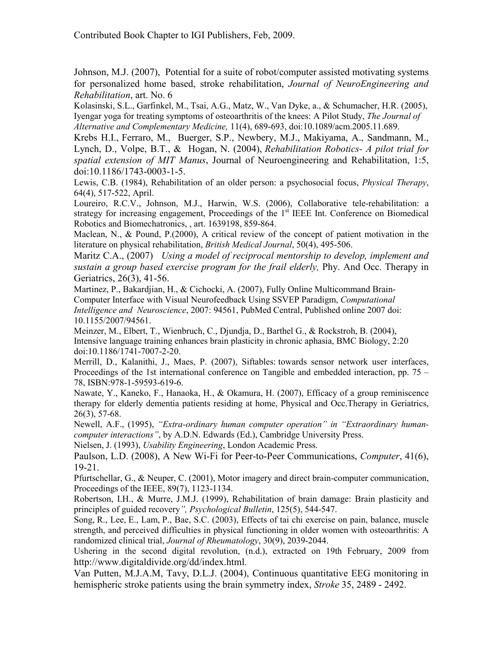Johnson, M.J. (2007), Potential for a suite of robot/computer assisted motivating systems for personalized home based, stroke rehabilitation, Journal of NeuroEngineering and Rehabilitation, art. No. 6

Kolasinski, S.L., Garfinkel, M., Tsai, A.G., Matz, W., Van Dyke, a., & Schumacher, H.R. (2005), Iyengar yoga for treating symptoms of osteoarthritis of the knees: A Pilot Study, The Journal of Alternative and Complementary Medicine, 11(4), 689-693, doi:10.1089/acm.2005.11.689.

Krebs H.I., Ferraro, M., Buerger, S.P., Newbery, M.J., Makiyama, A., Sandmann, M., Lynch, D., Volpe, B.T., & Hogan, N. (2004), Rehabilitation Robotics- A pilot trial for spatial extension of MIT Manus, Journal of Neuroengineering and Rehabilitation, 1:5, doi:10.1186/1743-0003-1-5.

Lewis, C.B. (1984), Rehabilitation of an older person: a psychosocial focus, *Physical Therapy*, 64(4), 517-522, April.

Loureiro, R.C.V., Johnson, M.J., Harwin, W.S. (2006), Collaborative tele-rehabilitation: a strategy for increasing engagement, Proceedings of the  $1<sup>st</sup>$  IEEE Int. Conference on Biomedical Robotics and Biomechatronics, , art. 1639198, 859-864.

Maclean, N., & Pound, P.(2000), A critical review of the concept of patient motivation in the literature on physical rehabilitation, British Medical Journal, 50(4), 495-506.

Maritz C.A., (2007) Using a model of reciprocal mentorship to develop, implement and sustain a group based exercise program for the frail elderly, Phy. And Occ. Therapy in Geriatrics, 26(3), 41-56.

Martinez, P., Bakardjian, H., & Cichocki, A. (2007), Fully Online Multicommand Brain-Computer Interface with Visual Neurofeedback Using SSVEP Paradigm, Computational Intelligence and Neuroscience, 2007: 94561, PubMed Central, Published online 2007 doi: 10.1155/2007/94561.

Meinzer, M., Elbert, T., Wienbruch, C., Djundja, D., Barthel G., & Rockstroh, B. (2004), Intensive language training enhances brain plasticity in chronic aphasia, BMC Biology, 2:20 doi:10.1186/1741-7007-2-20.

Merrill, D., Kalanithi, J., Maes, P. (2007), Siftables: towards sensor network user interfaces, Proceedings of the 1st international conference on Tangible and embedded interaction, pp. 75 – 78, ISBN:978-1-59593-619-6.

Nawate, Y., Kaneko, F., Hanaoka, H., & Okamura, H. (2007), Efficacy of a group reminiscence therapy for elderly dementia patients residing at home, Physical and Occ.Therapy in Geriatrics, 26(3), 57-68.

Newell, A.F., (1995), "Extra-ordinary human computer operation" in "Extraordinary humancomputer interactions", by A.D.N. Edwards (Ed.), Cambridge University Press.

Nielsen, J. (1993), Usability Engineering, London Academic Press.

Paulson, L.D. (2008), A New Wi-Fi for Peer-to-Peer Communications, Computer, 41(6), 19-21.

Pfurtschellar, G., & Neuper, C. (2001), Motor imagery and direct brain-computer communication, Proceedings of the IEEE, 89(7), 1123-1134.

Robertson, I.H., & Murre, J.M.J. (1999), Rehabilitation of brain damage: Brain plasticity and principles of guided recovery", Psychological Bulletin, 125(5), 544-547.

Song, R., Lee, E., Lam, P., Bae, S.C. (2003), Effects of tai chi exercise on pain, balance, muscle strength, and perceived difficulties in physical functioning in older women with osteoarthritis: A randomized clinical trial, Journal of Rheumatology, 30(9), 2039-2044.

Ushering in the second digital revolution, (n.d.), extracted on 19th February, 2009 from http://www.digitaldivide.org/dd/index.html.

Van Putten, M.J.A.M, Tavy, D.L.J. (2004), Continuous quantitative EEG monitoring in hemispheric stroke patients using the brain symmetry index, *Stroke* 35, 2489 - 2492.